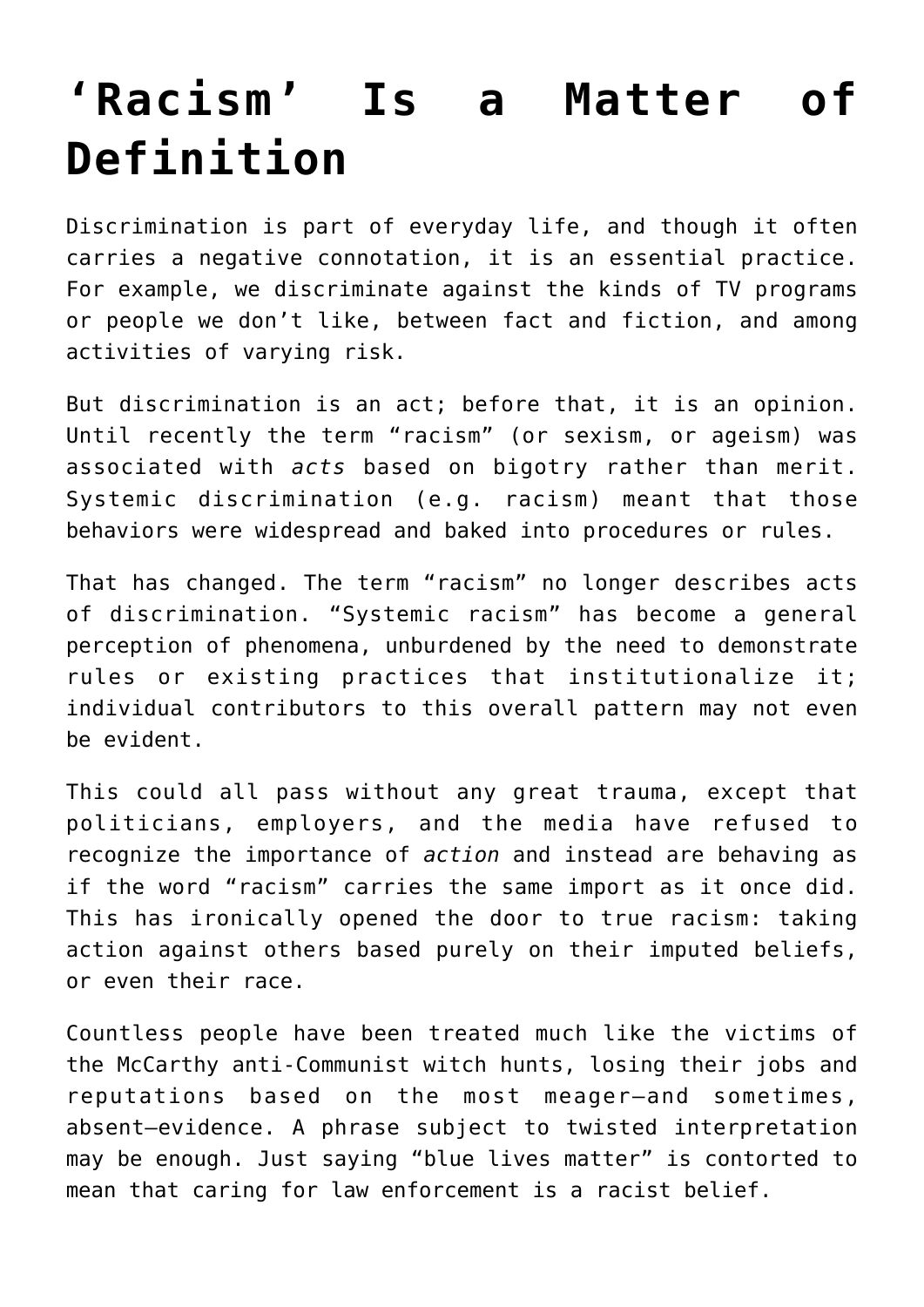## **['Racism' Is a Matter of](https://intellectualtakeout.org/2020/08/racism-is-a-matter-of-definition/) [Definition](https://intellectualtakeout.org/2020/08/racism-is-a-matter-of-definition/)**

Discrimination is part of everyday life, and though it often carries a negative connotation, it is an essential practice. For example, we discriminate against the kinds of TV programs or people we don't like, between fact and fiction, and among activities of varying risk.

But discrimination is an act; before that, it is an opinion. Until recently the term "racism" (or sexism, or ageism) was associated with *acts* based on bigotry rather than merit. Systemic discrimination (e.g. racism) meant that those behaviors were widespread and baked into procedures or rules.

That has changed. The term "racism" no longer describes acts of discrimination. "Systemic racism" has become a general perception of phenomena, unburdened by the need to demonstrate rules or existing practices that institutionalize it; individual contributors to this overall pattern may not even be evident.

This could all pass without any great trauma, except that politicians, employers, and the media have refused to recognize the importance of *action* and instead are behaving as if the word "racism" carries the same import as it once did. This has ironically opened the door to true racism: taking action against others based purely on their imputed beliefs, or even their race.

Countless people have been treated much like the victims of the McCarthy anti-Communist witch hunts, losing their jobs and reputations based on the most meager—and sometimes, absent—evidence. A phrase subject to twisted interpretation may be enough. Just saying "blue lives matter" is contorted to mean that caring for law enforcement is a racist belief.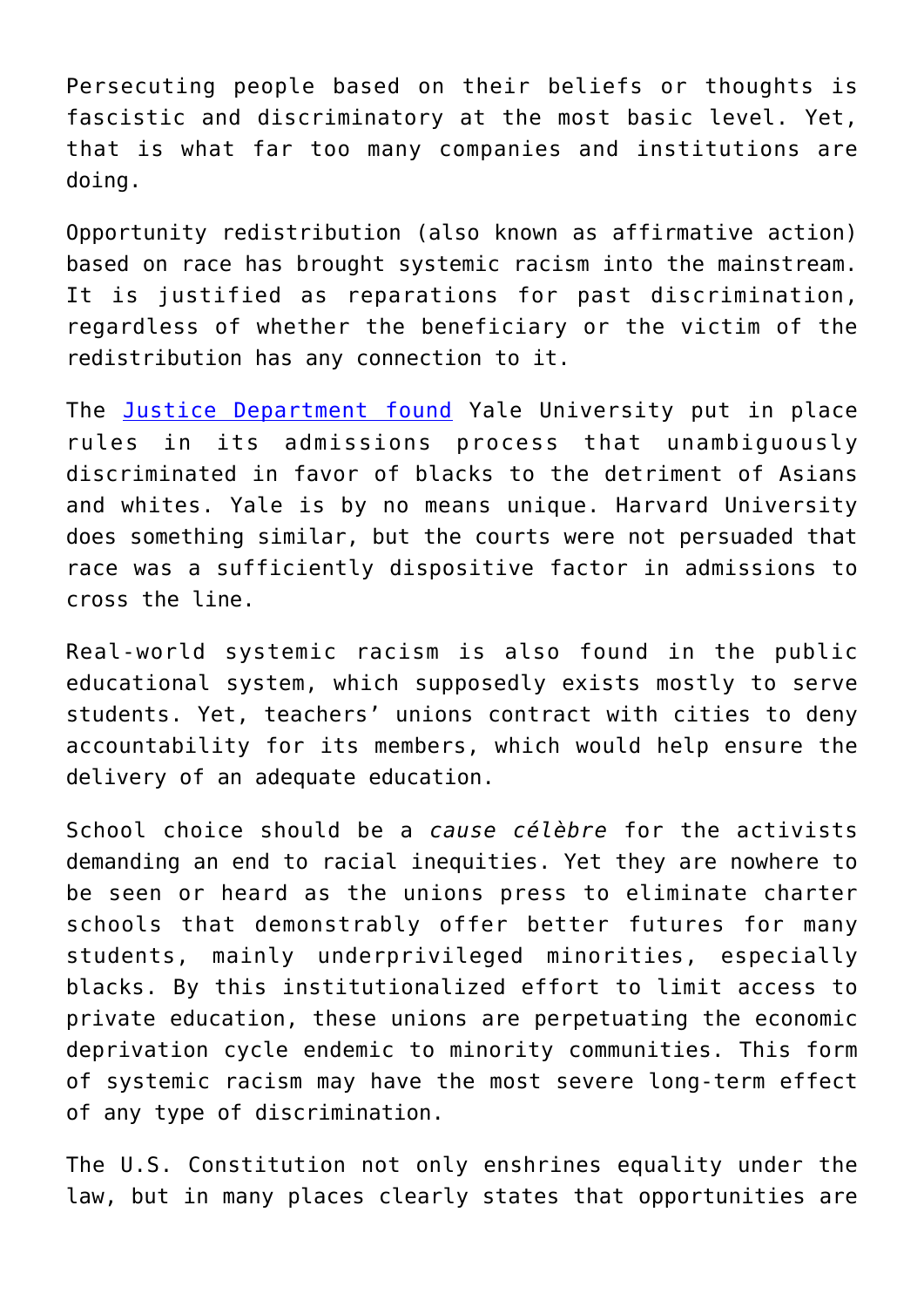Persecuting people based on their beliefs or thoughts is fascistic and discriminatory at the most basic level. Yet, that is what far too many companies and institutions are doing.

Opportunity redistribution (also known as affirmative action) based on race has brought systemic racism into the mainstream. It is justified as reparations for past discrimination, regardless of whether the beneficiary or the victim of the redistribution has any connection to it.

The [Justice Department found](https://www.nytimes.com/2020/08/13/us/yale-discrimination.html) Yale University put in place rules in its admissions process that unambiguously discriminated in favor of blacks to the detriment of Asians and whites. Yale is by no means unique. Harvard University does something similar, but the courts were not persuaded that race was a sufficiently dispositive factor in admissions to cross the line.

Real-world systemic racism is also found in the public educational system, which supposedly exists mostly to serve students. Yet, teachers' unions contract with cities to deny accountability for its members, which would help ensure the delivery of an adequate education.

School choice should be a *cause célèbre* for the activists demanding an end to racial inequities. Yet they are nowhere to be seen or heard as the unions press to eliminate charter schools that demonstrably offer better futures for many students, mainly underprivileged minorities, especially blacks. By this institutionalized effort to limit access to private education, these unions are perpetuating the economic deprivation cycle endemic to minority communities. This form of systemic racism may have the most severe long-term effect of any type of discrimination.

The U.S. Constitution not only enshrines equality under the law, but in many places clearly states that opportunities are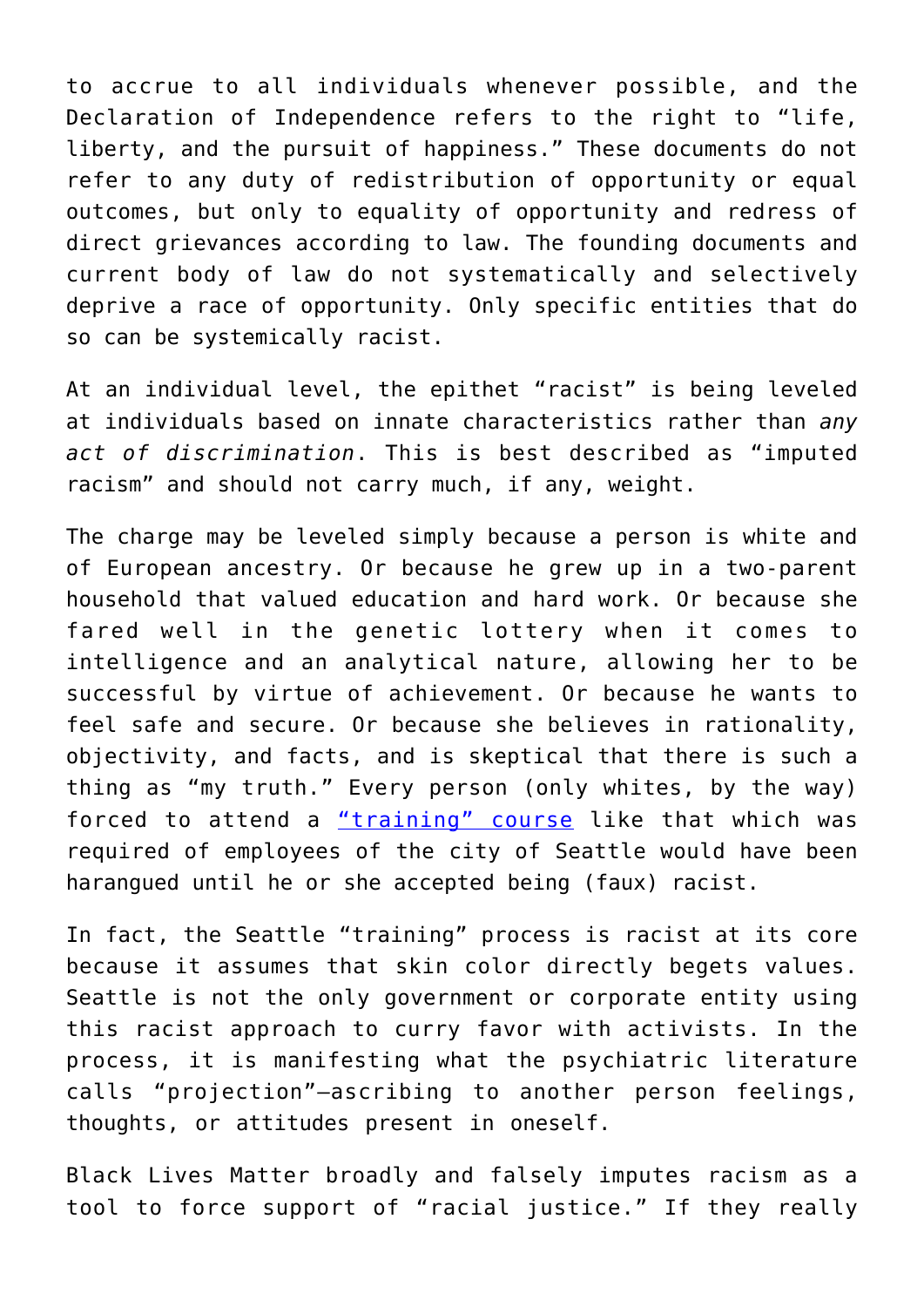to accrue to all individuals whenever possible, and the Declaration of Independence refers to the right to "life, liberty, and the pursuit of happiness." These documents do not refer to any duty of redistribution of opportunity or equal outcomes, but only to equality of opportunity and redress of direct grievances according to law. The founding documents and current body of law do not systematically and selectively deprive a race of opportunity. Only specific entities that do so can be systemically racist.

At an individual level, the epithet "racist" is being leveled at individuals based on innate characteristics rather than *any act of discrimination*. This is best described as "imputed racism" and should not carry much, if any, weight.

The charge may be leveled simply because a person is white and of European ancestry. Or because he grew up in a two-parent household that valued education and hard work. Or because she fared well in the genetic lottery when it comes to intelligence and an analytical nature, allowing her to be successful by virtue of achievement. Or because he wants to feel safe and secure. Or because she believes in rationality, objectivity, and facts, and is skeptical that there is such a thing as "my truth." Every person (only whites, by the way) forced to attend a ["training" course](https://www.city-journal.org/seattle-interrupting-whiteness-training) like that which was required of employees of the city of Seattle would have been harangued until he or she accepted being (faux) racist.

In fact, the Seattle "training" process is racist at its core because it assumes that skin color directly begets values. Seattle is not the only government or corporate entity using this racist approach to curry favor with activists. In the process, it is manifesting what the psychiatric literature calls "projection"—ascribing to another person feelings, thoughts, or attitudes present in oneself.

Black Lives Matter broadly and falsely imputes racism as a tool to force support of "racial justice." If they really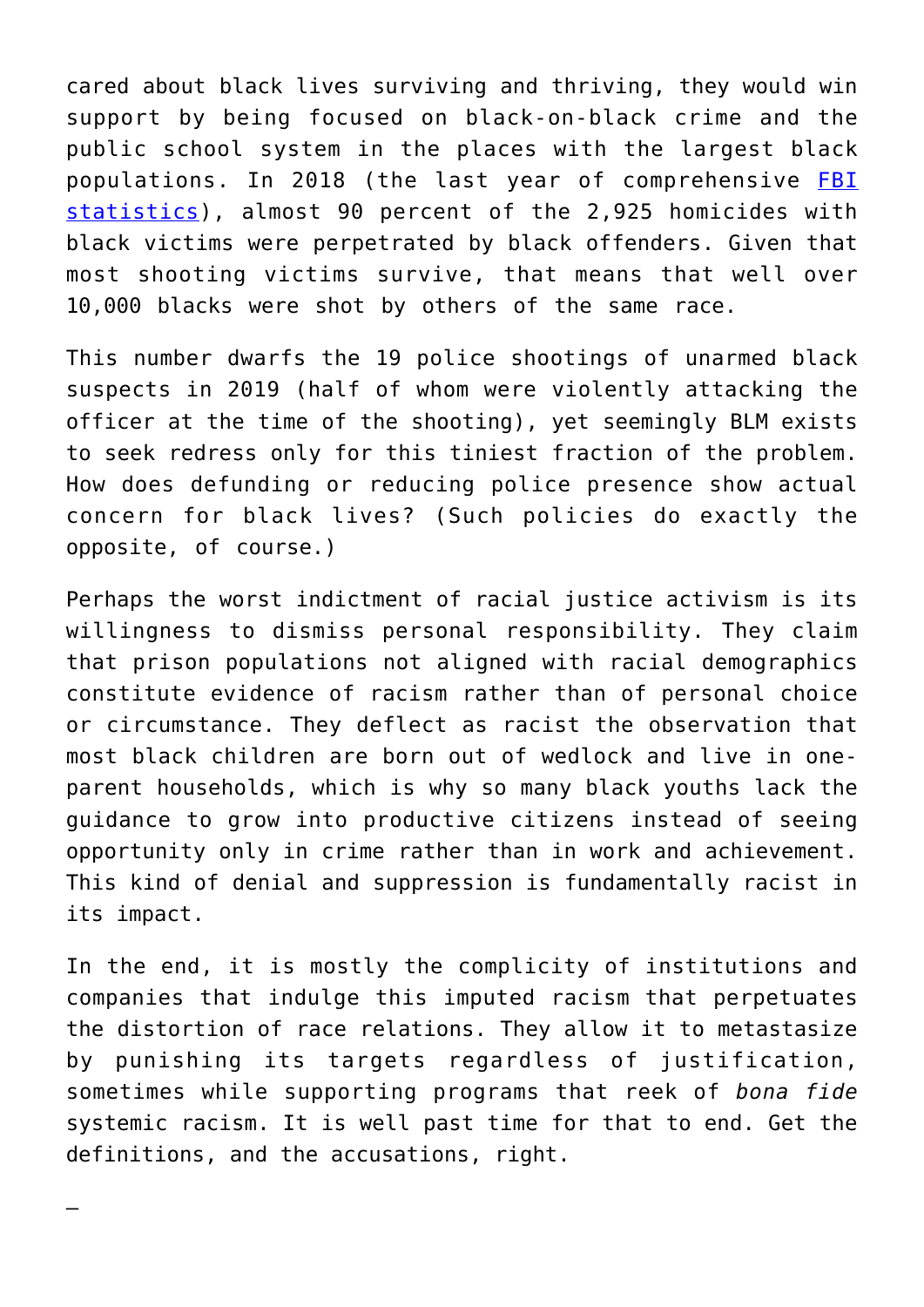cared about black lives surviving and thriving, they would win support by being focused on black-on-black crime and the public school system in the places with the largest black populations. In 2018 (the last year of comprehensive [FBI](https://ucr.fbi.gov/crime-in-the-u.s/2018/crime-in-the-u.s.-2018/tables/expanded-homicide-data-table-6.xls) [statistics\)](https://ucr.fbi.gov/crime-in-the-u.s/2018/crime-in-the-u.s.-2018/tables/expanded-homicide-data-table-6.xls), almost 90 percent of the 2,925 homicides with black victims were perpetrated by black offenders. Given that most shooting victims survive, that means that well over 10,000 blacks were shot by others of the same race.

This number dwarfs the 19 police shootings of unarmed black suspects in 2019 (half of whom were violently attacking the officer at the time of the shooting), yet seemingly BLM exists to seek redress only for this tiniest fraction of the problem. How does defunding or reducing police presence show actual concern for black lives? (Such policies do exactly the opposite, of course.)

Perhaps the worst indictment of racial justice activism is its willingness to dismiss personal responsibility. They claim that prison populations not aligned with racial demographics constitute evidence of racism rather than of personal choice or circumstance. They deflect as racist the observation that most black children are born out of wedlock and live in oneparent households, which is why so many black youths lack the guidance to grow into productive citizens instead of seeing opportunity only in crime rather than in work and achievement. This kind of denial and suppression is fundamentally racist in its impact.

In the end, it is mostly the complicity of institutions and companies that indulge this imputed racism that perpetuates the distortion of race relations. They allow it to metastasize by punishing its targets regardless of justification, sometimes while supporting programs that reek of *bona fide* systemic racism. It is well past time for that to end. Get the definitions, and the accusations, right.